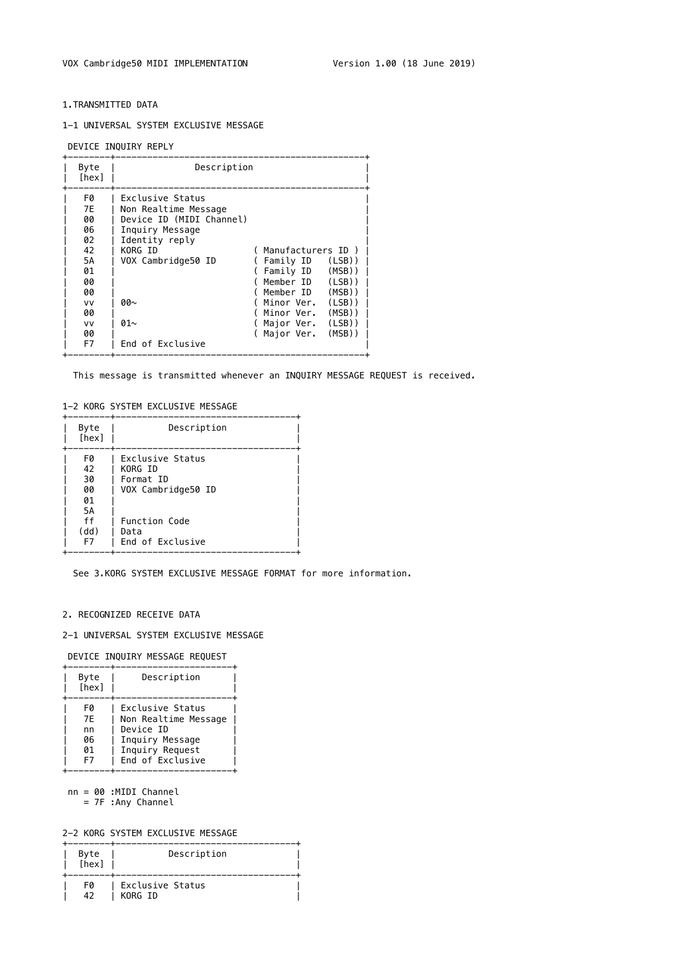#### 1.TRANSMITTED DATA

#### 1-1 UNIVERSAL SYSTEM EXCLUSIVE MESSAGE

DEVICE INQUIRY REPLY

| Byte<br>[hex]                                                                                 | Description                                                                                                                                                                        |                                                                                                                                                                                                                              |
|-----------------------------------------------------------------------------------------------|------------------------------------------------------------------------------------------------------------------------------------------------------------------------------------|------------------------------------------------------------------------------------------------------------------------------------------------------------------------------------------------------------------------------|
| F0<br>7E<br>00<br>06<br>02<br>42<br><b>5A</b><br>01<br>00<br>00<br>VV<br>00<br>VV<br>00<br>F7 | Exclusive Status<br>Non Realtime Message<br>Device ID (MIDI Channel)<br>Inquiry Message<br>Identity reply<br>KORG ID<br>VOX Cambridge50 ID<br>00∼<br>01 $\sim$<br>End of Exclusive | Manufacturers ID<br>(LSB)<br>Family ID<br>$(MSB)$ )<br>Family ID<br>Member ID<br>(LSB)<br>$(MSB)$ )<br>Member ID<br>$(LSB)$ )<br>Minor Ver.<br>$(MSB)$ )<br>Minor Ver.<br>$(LSB)$ )<br>Major Ver.<br>$(MSB)$ )<br>Major Ver. |

This message is transmitted whenever an INQUIRY MESSAGE REQUEST is received.

#### 1-2 KORG SYSTEM EXCLUSIVE MESSAGE

| Byte<br>[hex]              | Description                                                    |
|----------------------------|----------------------------------------------------------------|
| FØ<br>42<br>30<br>00<br>01 | Exclusive Status<br>KORG ID<br>Format ID<br>VOX Cambridge50 ID |
| 5A<br>ff<br>(dd)<br>F7     | Function Code<br>Data<br>End of Exclusive                      |

See 3.KORG SYSTEM EXCLUSIVE MESSAGE FORMAT for more information.

## 2. RECOGNIZED RECEIVE DATA

## 2-1 UNIVERSAL SYSTEM EXCLUSIVE MESSAGE

DEVICE INQUIRY MESSAGE REQUEST

| Byte<br>[hex] | Description          |
|---------------|----------------------|
| FØ            | Exclusive Status     |
| 7E            | Non Realtime Message |
| nn            | Device ID            |
| 06            | Inquiry Message      |
| 01            | Inquiry Request      |
| F7            | End of Exclusive     |

 nn = 00 :MIDI Channel = 7F :Any Channel

# 2-2 KORG SYSTEM EXCLUSIVE MESSAGE

| Byte<br>[hex] | Description                 |  |
|---------------|-----------------------------|--|
| FØ<br>AD.     | Exclusive Status<br>KORG ID |  |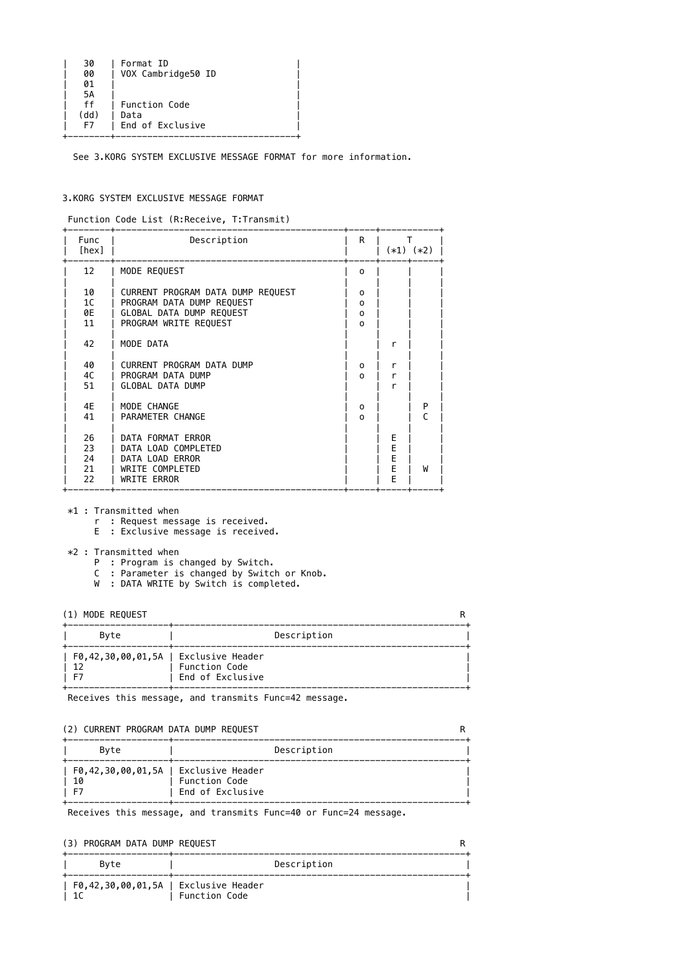| 30   | Format ID          |
|------|--------------------|
| 00   | VOX Cambridge50 ID |
| 01   |                    |
| 5А   |                    |
| ff   | Function Code      |
| (dd) | Data               |
| F7   | End of Exclusive   |
|      |                    |

See 3.KORG SYSTEM EXCLUSIVE MESSAGE FORMAT for more information.

#### 3.KORG SYSTEM EXCLUSIVE MESSAGE FORMAT

Function Code List (R:Receive, T:Transmit)

- \*1 : Transmitted when
	- r : Request message is received.
	- E : Exclusive message is received.
- \*2 : Transmitted when
	- P : Program is changed by Switch.
	- C : Parameter is changed by Switch or Knob.
	- W : DATA WRITE by Switch is completed.

| Func<br>[hex]  | Description                           | $\mathsf{R}$ | $(*1)$ $(*2)$ |   |
|----------------|---------------------------------------|--------------|---------------|---|
| 12             | MODE REQUEST                          | $\mathbf 0$  |               |   |
| 10             | CURRENT PROGRAM DATA DUMP REQUEST     | 0            |               |   |
| 1 <sup>C</sup> | PROGRAM DATA DUMP REQUEST             | 0            |               |   |
| 0E             | GLOBAL DATA DUMP REQUEST              | 0            |               |   |
| 11             | PROGRAM WRITE REQUEST                 | $\Omega$     |               |   |
| 42             | MODE DATA                             |              | r             |   |
| 40             | CURRENT PROGRAM DATA DUMP             | 0            | r             |   |
| 4C             | PROGRAM DATA DUMP                     | $\Omega$     | r             |   |
| 51             | <b>GLOBAL DATA DUMP</b>               |              | r             |   |
| 4E             | MODE CHANGE                           | 0            |               | P |
| 41             | PARAMETER CHANGE                      | $\Omega$     |               |   |
|                |                                       |              |               |   |
| 26             | DATA FORMAT ERROR                     |              | E             |   |
| 23             | DATA LOAD COMPLETED                   |              | E             |   |
| 24             | DATA LOAD ERROR                       |              | E             |   |
| 21<br>22       | WRITE COMPLETED<br><b>WRITE ERROR</b> |              | E<br>F        | W |
|                |                                       |              |               |   |

(1) MODE REQUEST R +-------------------+-------------------------------------------------------+ Byte | Description +-------------------+-------------------------------------------------------+ | F0,42,30,00,01,5A | Exclusive Header | | 12 | Function Code<br>| F7 | End of Exclus: | End of Exclusive +-------------------+-------------------------------------------------------+

Receives this message, and transmits Func=42 message.

| (2) CUNNENT FINOGNAPI DATA DUPIF INEQUEST          |                                          |             |
|----------------------------------------------------|------------------------------------------|-------------|
| Byte                                               |                                          | Description |
| F0,42,30,00,01,5A   Exclusive Header<br>10<br>- F7 | <b>Function Code</b><br>End of Exclusive |             |
|                                                    |                                          |             |

Receives this message, and transmits Func=40 or Func=24 message.

| (3) PROGRAM DATA DUMP REQUEST        |                      |             |  |
|--------------------------------------|----------------------|-------------|--|
| Bvte                                 |                      | Description |  |
| F0,42,30,00,01,5A   Exclusive Header | <b>Function Code</b> |             |  |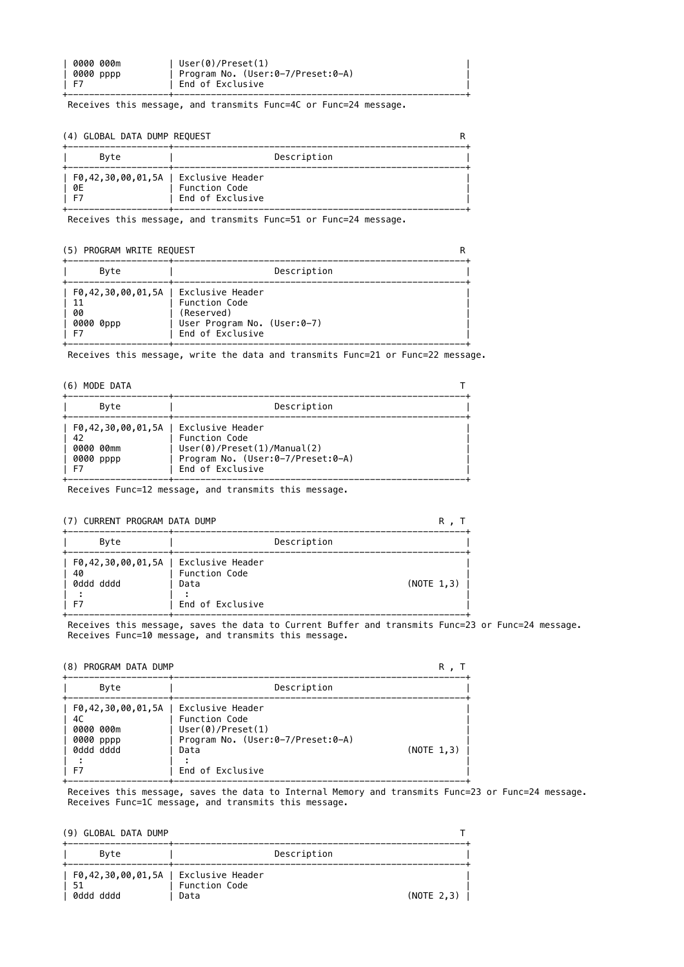| 0000 000m | User(0)/Present(1)                |  |
|-----------|-----------------------------------|--|
| 0000 pppp | Program No. (User:0-7/Preset:0-A) |  |
| 1 F7      | End of Exclusive                  |  |
|           |                                   |  |

Receives this message, and transmits Func=4C or Func=24 message.

### (4) GLOBAL DATA DUMP REQUEST RESERVED FOR A SERVED ON THE RESERVED ON A RESERVED ON A RESERVED ON RESERVED ON A RESERVED ON RESERVED ON A RESERVED ON RESERVED ON RESERVED ON RESERVED ON RESERVED ON RESERVED ON RESERVED ON

| Byte                                       | Description                       |  |
|--------------------------------------------|-----------------------------------|--|
| F0,42,30,00,01,5A   Exclusive Header<br>0E | Function Code<br>End of Exclusive |  |

Receives this message, and transmits Func=51 or Func=24 message.

## (5) PROGRAM WRITE REQUEST R

| Byte                                                                    |                                                                                | Description |  |
|-------------------------------------------------------------------------|--------------------------------------------------------------------------------|-------------|--|
| F0,42,30,00,01,5A   Exclusive Header<br>- 11<br>00<br>0000 0ppp<br>- F7 | Function Code<br>(Reserved)<br>User Program No. (User:0-7)<br>End of Exclusive |             |  |

Receives this message, write the data and transmits Func=21 or Func=22 message.

## (6) MODE DATA T

| Byte                                   | Description                                                                                                                                    |  |
|----------------------------------------|------------------------------------------------------------------------------------------------------------------------------------------------|--|
| - 42<br>0000 00mm<br>0000 pppp<br>- F7 | F0,42,30,00,01,5A   Exclusive Header<br>Function Code<br>User(0)/Present(1)/Manual(2)<br>Program No. (User:0-7/Preset:0-A)<br>End of Exclusive |  |

Receives Func=12 message, and transmits this message.

## (7) CURRENT PROGRAM DATA DUMP R , T

| Byte                                                            | Description                               |             |
|-----------------------------------------------------------------|-------------------------------------------|-------------|
| F0,42,30,00,01,5A   Exclusive Header<br>  40<br>0ddd dddd<br>F7 | Function Code<br>Data<br>End of Exclusive | (NOTE 1, 3) |

 Receives this message, saves the data to Current Buffer and transmits Func=23 or Func=24 message. Receives Func=10 message, and transmits this message.

#### (8) PROGRAM DATA DUMP R , T

+-------------------+-------------------------------------------------------+ Byte | Description +-------------------+-------------------------------------------------------+ | F0,42,30,00,01,5A | Exclusive Header | | 4C | Function Code |

| l F7 | 0000 000m<br>0000 pppp<br>0ddd dddd | User(0)/Present(1)<br>Program No. (User:0-7/Preset:0-A)<br>Data | (NOTE 1, 3) |  |
|------|-------------------------------------|-----------------------------------------------------------------|-------------|--|
|      |                                     | End of Exclusive                                                |             |  |

 Receives this message, saves the data to Internal Memory and transmits Func=23 or Func=24 message. Receives Func=1C message, and transmits this message.

| (9) GLOBAL DATA DUMP                                           |                       |             |              |
|----------------------------------------------------------------|-----------------------|-------------|--------------|
| Byte                                                           |                       | Description |              |
| $F0, 42, 30, 00, 01, 5A$   Exclusive Header<br>51<br>0ddd dddd | Function Code<br>Data |             | $(NOTE$ 2,3) |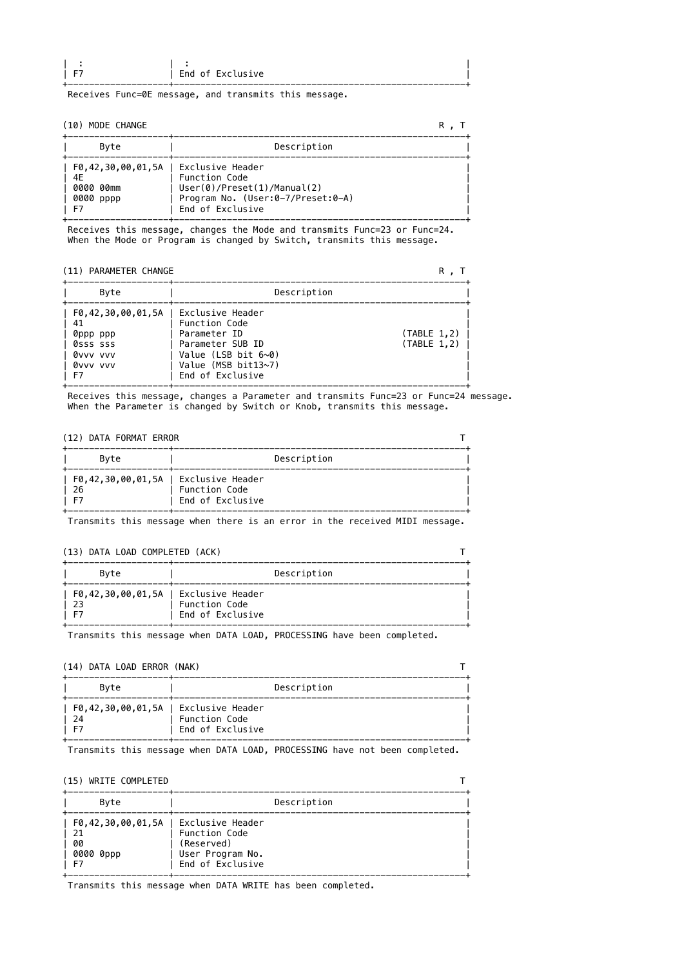| --<br>- | End of Exclusive |  |
|---------|------------------|--|
|         |                  |  |
|         |                  |  |

Receives Func=0E message, and transmits this message.

#### (10) MODE CHANGE R , T

| Byte                                                                         | Description                                                                                                   |  |
|------------------------------------------------------------------------------|---------------------------------------------------------------------------------------------------------------|--|
| F0,42,30,00,01,5A   Exclusive Header<br>4E<br>0000 00mm<br>0000 pppp<br>- F7 | <b>Function Code</b><br>User(0)/Present(1)/Manual(2)<br>Program No. (User:0-7/Preset:0-A)<br>End of Exclusive |  |

 Receives this message, changes the Mode and transmits Func=23 or Func=24. When the Mode or Program is changed by Switch, transmits this message.

## (11) PARAMETER CHANGE R (11) PARAMETER CHANGE

| Byte                                                                                                              | Description                                                                                                                   |                              |
|-------------------------------------------------------------------------------------------------------------------|-------------------------------------------------------------------------------------------------------------------------------|------------------------------|
| F0,42,30,00,01,5A   Exclusive Header<br>- 41<br>  0ppp ppp<br>  0sss sss<br>  0vvv vvv<br>  0vvv vvv<br><b>F7</b> | <b>Function Code</b><br>Parameter ID<br>Parameter SUB ID<br>Value (LSB bit $6~0$ )<br>Value (MSB bit13~7)<br>End of Exclusive | (TABLE 1, 2)<br>(TABLE 1, 2) |

 Receives this message, changes a Parameter and transmits Func=23 or Func=24 message. When the Parameter is changed by Switch or Knob, transmits this message.

## (12) DATA FORMAT ERROR THE SERIES OF THE SERIES OF THE SERIES OF THE SERIES OF THE SERIES OF THE SERIES OF THE SERIES OF THE SERIES OF THE SERIES OF THE SERIES OF THE SERIES OF THE SERIES OF THE SERIES OF THE SERIES OF THE

| Byte                                                  | Description                       |  |
|-------------------------------------------------------|-----------------------------------|--|
| F0,42,30,00,01,5A   Exclusive Header<br>l 26<br>- E 7 | Function Code<br>End of Exclusive |  |

Transmits this message when there is an error in the received MIDI message.

# (13) DATA LOAD COMPLETED (ACK) T

| Byte                                               | Description                              |  |
|----------------------------------------------------|------------------------------------------|--|
| F0,42,30,00,01,5A   Exclusive Header<br>- 23<br>E. | <b>Function Code</b><br>End of Exclusive |  |

Transmits this message when DATA LOAD, PROCESSING have been completed.

# (14) DATA LOAD ERROR (NAK) T

| $\mathbf{u}$ $\mathbf{u}$ $\mathbf{v}$ $\mathbf{v}$ $\mathbf{v}$ $\mathbf{v}$ $\mathbf{v}$ $\mathbf{v}$ $\mathbf{v}$ $\mathbf{v}$ $\mathbf{v}$ $\mathbf{v}$ $\mathbf{v}$ $\mathbf{v}$ $\mathbf{v}$ $\mathbf{v}$ $\mathbf{v}$ $\mathbf{v}$ $\mathbf{v}$ $\mathbf{v}$ $\mathbf{v}$ $\mathbf{v}$ $\mathbf{v}$ $\mathbf{v}$ $\mathbf{$ |                  |  |
|------------------------------------------------------------------------------------------------------------------------------------------------------------------------------------------------------------------------------------------------------------------------------------------------------------------------------------|------------------|--|
| Byte                                                                                                                                                                                                                                                                                                                               | Description      |  |
| F0,42,30,00,01,5A   Exclusive Header                                                                                                                                                                                                                                                                                               |                  |  |
| 24                                                                                                                                                                                                                                                                                                                                 | Function Code    |  |
|                                                                                                                                                                                                                                                                                                                                    | End of Exclusive |  |

| <u>.</u><br><u>UI</u><br>----------- |
|--------------------------------------|
|                                      |

Transmits this message when DATA LOAD, PROCESSING have not been completed.

| (15) WRITE COMPLETED                                                       |                                                                     |             |
|----------------------------------------------------------------------------|---------------------------------------------------------------------|-------------|
| Byte                                                                       |                                                                     | Description |
| $F0, 42, 30, 00, 01, 5A$   Exclusive Header<br>21<br>00<br>0000 0ppp<br>F7 | Function Code<br>(Reserved)<br>User Program No.<br>End of Exclusive |             |

Transmits this message when DATA WRITE has been completed.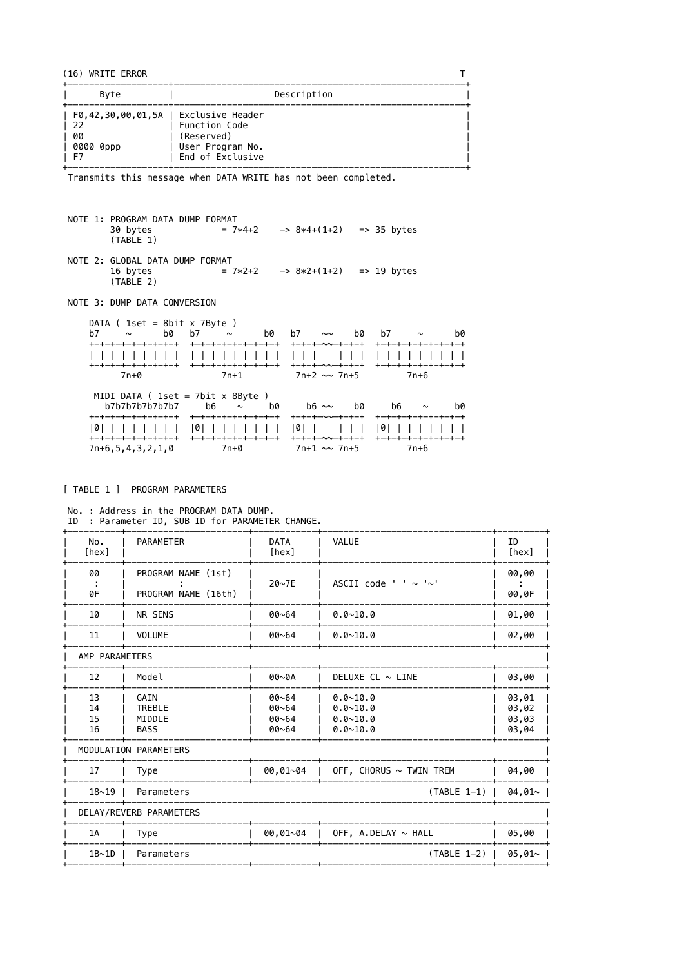(16) WRITE ERROR

| Byte                                                                    | Description                                                         |
|-------------------------------------------------------------------------|---------------------------------------------------------------------|
| F0,42,30,00,01,5A   Exclusive Header<br>- 22<br>00<br>0000 0ppp<br>- F7 | Function Code<br>(Reserved)<br>User Program No.<br>End of Exclusive |

 $\mathsf{T}$ 

Transmits this message when DATA WRITE has not been completed.

NOTE 1: PROGRAM DATA DUMP FORMAT 30 bytes =  $7*4+2$  ->  $8*4+(1+2)$  => 35 bytes  $(TABLE 1)$ 

NOTE 2: GLOBAL DATA DUMP FORMAT 16 bytes =  $7*2+2$  ->  $8*2+(1+2)$  => 19 bytes  $(TABLE 2)$ 

NOTE 3: DUMP DATA CONVERSION

| DATA ( $1set = 8bit \times 7Byte$ )                                             |                                             |                                   |                                         |
|---------------------------------------------------------------------------------|---------------------------------------------|-----------------------------------|-----------------------------------------|
| b7<br>b0<br>$\sim$                                                              | b7<br>$\sim$<br>bØ                          | b0 l<br>h7<br>$\sim\sim$          | b7 $\sim$<br>bØ                         |
| +-+-+-+-+-+-+-+-+                                                               | +-+-+-+-+-+-+-+-+                           | +ー+ー+ー~~ー+ー+ー+                    | +-+-+-+-+-+-+-+-+                       |
|                                                                                 | 11111                                       |                                   |                                         |
| <b>ナーナーナーナーナーナーナーナー</b> ナ                                                       | +-+-+-+-+-+-+-+-+                           | キーキーキー〜〜ーキーキーキ                    | <b>ナーナーナーナーナーナーナーナー</b>                 |
| 7n+0                                                                            | $7n+1$                                      | 7n+2 ∼∼ 7n+5                      | 7n+6                                    |
| MIDI DATA ( $1set = 7bit \times 8Byte$ )<br>b7b7b7b7b7b7b7<br>キーキーキーキーキーキーキーキーキ | b6 $\sim$<br>bØ<br><b>ナーナーナーナーナーナーナーナーナ</b> | b0<br>$h6 \sim$<br>キーキーキーへ〜ーキーキーキ | b6<br>hØ<br>$\sim$<br>+-+-+-+-+-+-+-+-+ |
| 101<br><b>+-+-+-+-+-+-+-+-+</b>                                                 | +-+-+-+-+-+-+-+-+                           | 0<br>キーキーキー〜〜ーキーキーキ               | 0 <br>+-+-+-+-+-+-+-+-+                 |
| $7n+6, 5, 4, 3, 2, 1, 0$                                                        | 7n+0                                        | $7n+1 \sim 7n+5$                  | 7n+6                                    |

#### [ TABLE 1 ] PROGRAM PARAMETERS

No. : Address in the PROGRAM DATA DUMP. ID : Parameter ID, SUB ID for PARAMETER CHANGE.

| No.<br>[hex]         | <b>PARAMETER</b>                               | <b>DATA</b><br>[hex]             | <b>VALUE</b>                                                 | ID<br>[hex]                      |
|----------------------|------------------------------------------------|----------------------------------|--------------------------------------------------------------|----------------------------------|
| 00<br>0F             | PROGRAM NAME (1st)<br>PROGRAM NAME (16th)      | 20~7E                            | ASCII code ' ' $\sim$ ' $\sim$ '                             | 00,00<br>00,0F                   |
| 10                   | NR SENS                                        | 00~64                            | $0.0 - 10.0$                                                 | 01,00                            |
| 11                   | <b>VOLUME</b>                                  | $00 - 64$                        | $0.0 - 10.0$                                                 | 02,00                            |
| AMP PARAMETERS       |                                                |                                  |                                                              |                                  |
| 12                   | Model                                          | 00~0A                            | DELUXE CL $\sim$ LINE                                        | 03,00                            |
| 13<br>14<br>15<br>16 | GAIN<br><b>TREBLE</b><br>MIDDLE<br><b>BASS</b> | 00~64<br>00~64<br>00~64<br>00~64 | $0.0 - 10.0$<br>$0.0 - 10.0$<br>$0.0 - 10.0$<br>$0.0 - 10.0$ | 03,01<br>03,02<br>03,03<br>03,04 |
|                      | MODULATION PARAMETERS                          |                                  |                                                              |                                  |
| 17                   | <b>Type</b>                                    | $00, 01 - 04$                    | OFF, CHORUS $\sim$ TWIN TREM                                 | 04,00                            |
| $18 - 19$            | $(TABLE 1-1)$<br>Parameters                    |                                  | $04,01$ ~                                                    |                                  |
|                      | DELAY/REVERB PARAMETERS                        |                                  |                                                              |                                  |
| 1A                   | <b>Type</b>                                    | $00,01 \sim 04$                  | OFF, A.DELAY $\sim$ HALL                                     | 05,00                            |
| 1B~1D                | Parameters                                     |                                  | $(TABLE 1-2)$                                                | $05,01$ ~                        |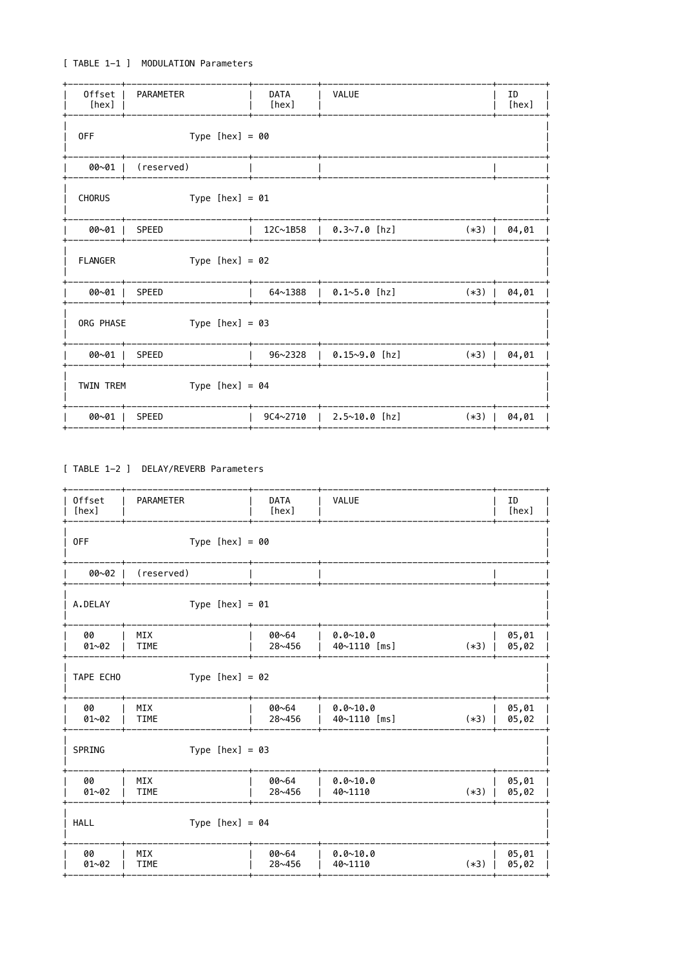# [ TABLE 1-1 ] MODULATION Parameters

| 0ffset<br>[hex] | PARAMETER         | <b>DATA</b><br>[hex] | <b>VALUE</b>          |        | ID<br>[hex] |
|-----------------|-------------------|----------------------|-----------------------|--------|-------------|
| 0FF             | Type $[hex] = 00$ |                      |                       |        |             |
| $00~01$         | (reserved)        |                      |                       |        |             |
| <b>CHORUS</b>   | Type $[hex] = 01$ |                      |                       |        |             |
| 00~01           | <b>SPEED</b>      | 12C~1B58             | $0.3~7.0$ [hz]        | $(*3)$ | 04,01       |
| <b>FLANGER</b>  | Type $[hex] = 02$ |                      |                       |        |             |
| 00~01           | <b>SPEED</b>      | 64~1388              | $0.1~5.0$ [hz]        | $(*3)$ | 04,01       |
| ORG PHASE       | Type $[hex] = 03$ |                      |                       |        |             |
| $00~01$         | SPEED             | 96~2328              | $\vert$ 0.15~9.0 [hz] | $(*3)$ | 04,01       |
| TWIN TREM       | Type $[hex] = 04$ |                      |                       |        |             |
| 00~01           | <b>SPEED</b>      | $9C4 \sim 2710$      | $2.5~10.0$ [hz]       | $(*3)$ | 04,01       |

# [ TABLE 1-2 ] DELAY/REVERB Parameters

| Offset<br>[hex] | <b>PARAMETER</b>          | <b>DATA</b><br>[hex] | <b>VALUE</b>                 |        | ID<br>[hex]    |
|-----------------|---------------------------|----------------------|------------------------------|--------|----------------|
| 0FF             | Type $[hex] = 00$         |                      |                              |        |                |
| 00~02           | (reserved)                |                      |                              |        |                |
| A.DELAY         | Type $[hex] = 01$         |                      |                              |        |                |
| 00<br>$01 - 02$ | <b>MIX</b><br><b>TIME</b> | 00~64<br>28~456      | $0.0 - 10.0$<br>40~1110 [ms] | $(*3)$ | 05,01<br>05,02 |
| TAPE ECHO       | Type $[hex] = 02$         |                      |                              |        |                |
| 00<br>$01 - 02$ | MIX<br><b>TIME</b>        | 00~64<br>28~456      | $0.0 - 10.0$<br>40~1110 [ms] | $(*3)$ | 05,01<br>05,02 |
| SPRING          | Type $[hex] = 03$         |                      |                              |        |                |
| 00<br>$01 - 02$ | MIX<br><b>TIME</b>        | 00~64<br>28~456      | $0.0 - 10.0$<br>40~1110      | $(*3)$ | 05,01<br>05,02 |
| <b>HALL</b>     | Type $[hex] = 04$         |                      |                              |        |                |
| 00<br>$01 - 02$ | <b>MIX</b><br><b>TIME</b> | 00~64<br>28~456      | $0.0 - 10.0$<br>40~1110      | $(*3)$ | 05,01<br>05,02 |